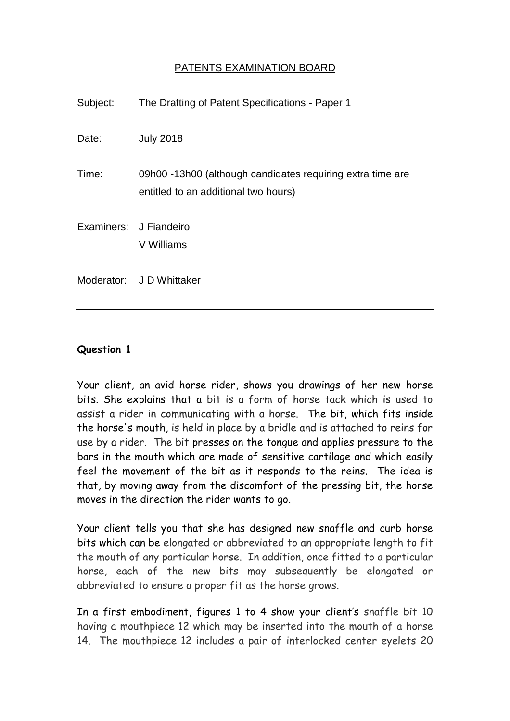## PATENTS EXAMINATION BOARD

| Subject:               | The Drafting of Patent Specifications - Paper 1                                                    |
|------------------------|----------------------------------------------------------------------------------------------------|
| Date:                  | <b>July 2018</b>                                                                                   |
| Time:                  | 09h00 -13h00 (although candidates requiring extra time are<br>entitled to an additional two hours) |
| Examiners: J Fiandeiro | V Williams                                                                                         |
|                        | Moderator: J D Whittaker                                                                           |

## **Question 1**

Your client, an avid horse rider, shows you drawings of her new horse bits. She explains that a bit is a form of horse tack which is used to assist a rider in communicating with a horse. The bit, which fits inside the horse's mouth, is held in place by a bridle and is attached to reins for use by a rider. The bit presses on the tongue and applies pressure to the bars in the mouth which are made of sensitive cartilage and which easily feel the movement of the bit as it responds to the reins. The idea is that, by moving away from the discomfort of the pressing bit, the horse moves in the direction the rider wants to go.

Your client tells you that she has designed new snaffle and curb horse bits which can be elongated or abbreviated to an appropriate length to fit the mouth of any particular horse. In addition, once fitted to a particular horse, each of the new bits may subsequently be elongated or abbreviated to ensure a proper fit as the horse grows.

In a first embodiment, figures 1 to 4 show your client's snaffle bit 10 having a mouthpiece 12 which may be inserted into the mouth of a horse 14. The mouthpiece 12 includes a pair of interlocked center eyelets 20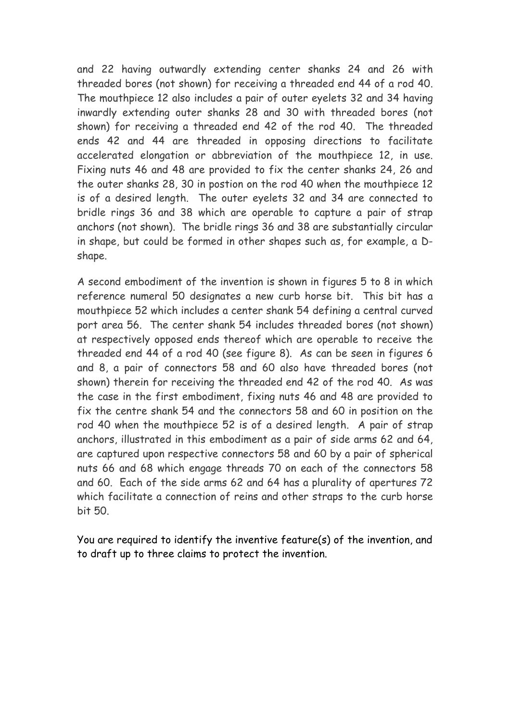and 22 having outwardly extending center shanks 24 and 26 with threaded bores (not shown) for receiving a threaded end 44 of a rod 40. The mouthpiece 12 also includes a pair of outer eyelets 32 and 34 having inwardly extending outer shanks 28 and 30 with threaded bores (not shown) for receiving a threaded end 42 of the rod 40. The threaded ends 42 and 44 are threaded in opposing directions to facilitate accelerated elongation or abbreviation of the mouthpiece 12, in use. Fixing nuts 46 and 48 are provided to fix the center shanks 24, 26 and the outer shanks 28, 30 in postion on the rod 40 when the mouthpiece 12 is of a desired length. The outer eyelets 32 and 34 are connected to bridle rings 36 and 38 which are operable to capture a pair of strap anchors (not shown). The bridle rings 36 and 38 are substantially circular in shape, but could be formed in other shapes such as, for example, a Dshape.

A second embodiment of the invention is shown in figures 5 to 8 in which reference numeral 50 designates a new curb horse bit. This bit has a mouthpiece 52 which includes a center shank 54 defining a central curved port area 56. The center shank 54 includes threaded bores (not shown) at respectively opposed ends thereof which are operable to receive the threaded end 44 of a rod 40 (see figure 8). As can be seen in figures 6 and 8, a pair of connectors 58 and 60 also have threaded bores (not shown) therein for receiving the threaded end 42 of the rod 40. As was the case in the first embodiment, fixing nuts 46 and 48 are provided to fix the centre shank 54 and the connectors 58 and 60 in position on the rod 40 when the mouthpiece 52 is of a desired length. A pair of strap anchors, illustrated in this embodiment as a pair of side arms 62 and 64, are captured upon respective connectors 58 and 60 by a pair of spherical nuts 66 and 68 which engage threads 70 on each of the connectors 58 and 60. Each of the side arms 62 and 64 has a plurality of apertures 72 which facilitate a connection of reins and other straps to the curb horse bit 50.

You are required to identify the inventive feature(s) of the invention, and to draft up to three claims to protect the invention.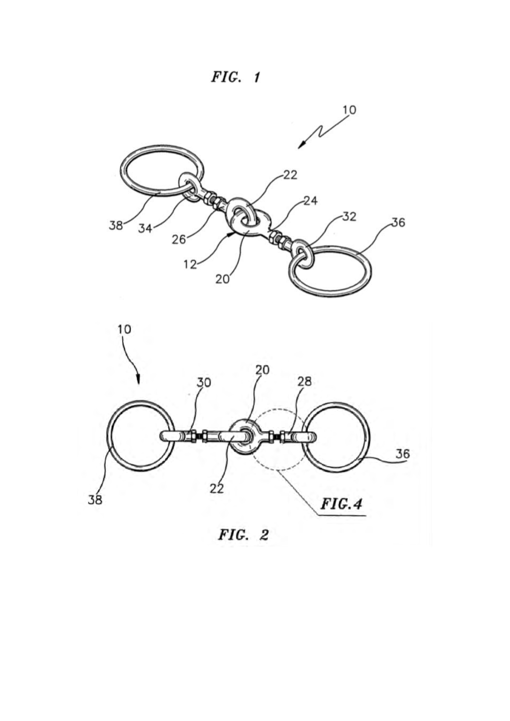$FIG. 1$ 



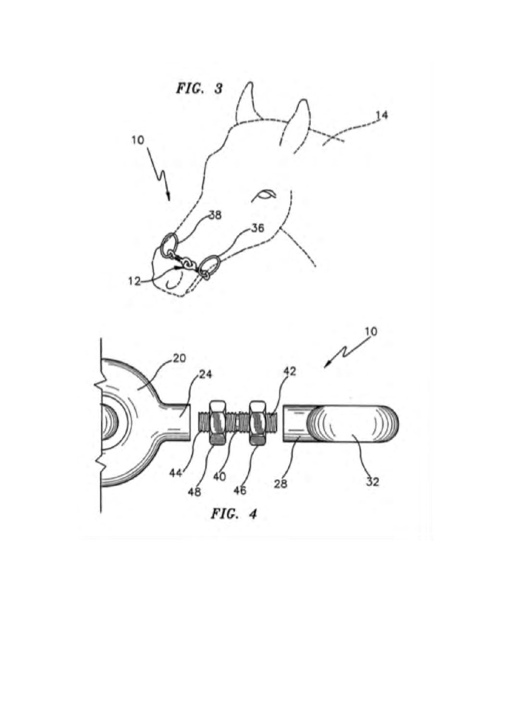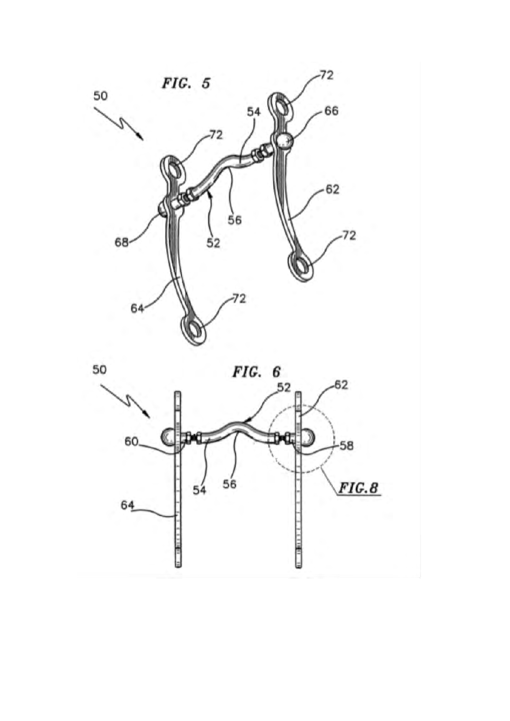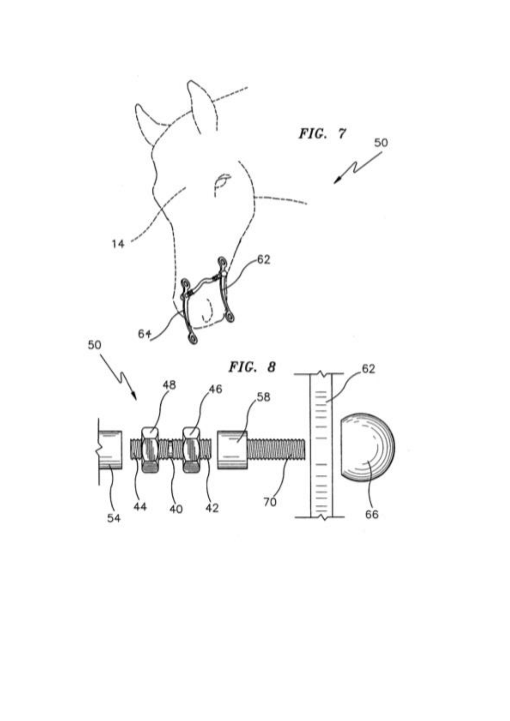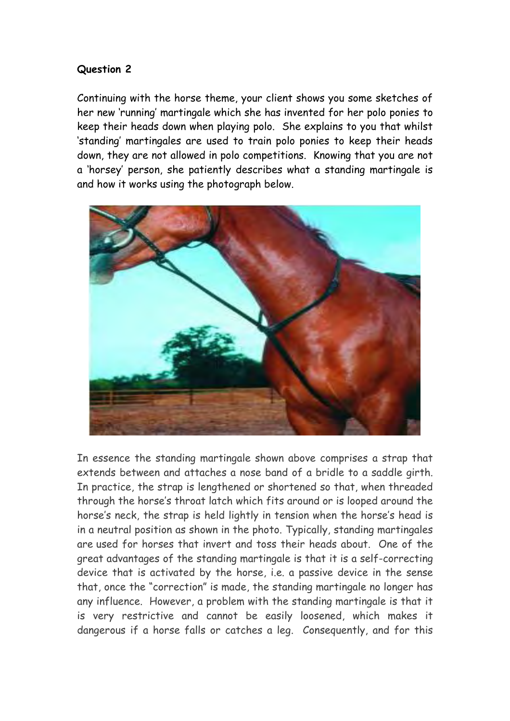## **Question 2**

Continuing with the horse theme, your client shows you some sketches of her new 'running' martingale which she has invented for her polo ponies to keep their heads down when playing polo. She explains to you that whilst 'standing' martingales are used to train polo ponies to keep their heads down, they are not allowed in polo competitions. Knowing that you are not a 'horsey' person, she patiently describes what a standing martingale is and how it works using the photograph below.



In essence the standing martingale shown above comprises a strap that extends between and attaches a nose band of a bridle to a saddle girth. In practice, the strap is lengthened or shortened so that, when threaded through the horse's throat latch which fits around or is looped around the horse's neck, the strap is held lightly in tension when the horse's head is in a neutral position as shown in the photo. Typically, standing martingales are used for horses that invert and toss their heads about. One of the great advantages of the standing martingale is that it is a self-correcting device that is activated by the horse, i.e. a passive device in the sense that, once the "correction" is made, the standing martingale no longer has any influence. However, a problem with the standing martingale is that it is very restrictive and cannot be easily loosened, which makes it dangerous if a horse falls or catches a leg. Consequently, and for this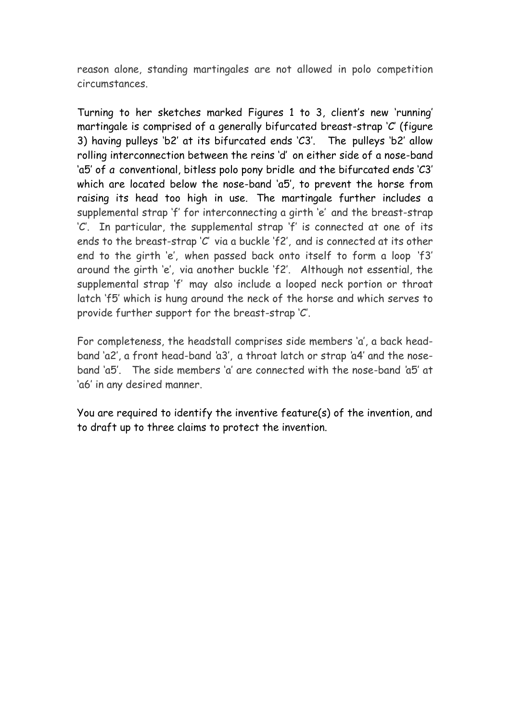reason alone, standing martingales are not allowed in polo competition circumstances.

Turning to her sketches marked Figures 1 to 3, client's new 'running' martingale is comprised of a generally bifurcated breast-strap 'C' (figure 3) having pulleys 'b2' at its bifurcated ends 'C3'.The pulleys 'b2' allow rolling interconnection between the reins 'd' on either side of a nose-band 'a5' of *a* conventional, bitless polo pony bridle and the bifurcated ends 'C3' which are located below the nose-band 'a5', to prevent the horse from raising its head too high in use*.* The martingale further includes a supplemental strap 'f' for interconnecting a girth 'e' and the breast-strap 'C'. In particular, the supplemental strap 'f' is connected at one of its ends to the breast-strap 'C' via a buckle 'f2', and is connected at its other end to the girth 'e', when passed back onto itself to form a loop 'f3' around the girth 'e', via another buckle 'f2'. Although not essential, the supplemental strap 'f' may also include a looped neck portion or throat latch 'f5' which is hung around the neck of the horse and which serves to provide further support for the breast-strap 'C'.

For completeness, the headstall comprises side members 'a', a back headband 'a2', a front head-band *'*a3', a throat latch or strap *'*a4' and the noseband 'a5'. The side members 'a' are connected with the nose-band *'*a5' at 'a6' in any desired manner.

You are required to identify the inventive feature(s) of the invention, and to draft up to three claims to protect the invention.